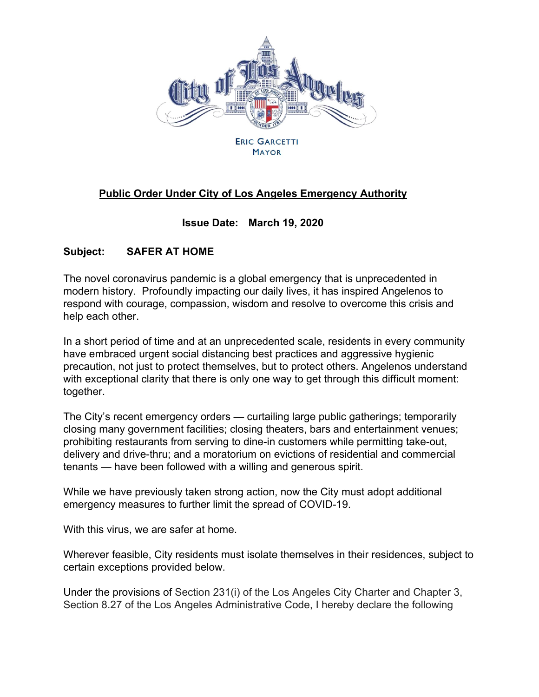

**MAYOR** 

## **Public Order Under City of Los Angeles Emergency Authority**

## **Issue Date: March 19, 2020**

## **Subject: SAFER AT HOME**

The novel coronavirus pandemic is a global emergency that is unprecedented in modern history. Profoundly impacting our daily lives, it has inspired Angelenos to respond with courage, compassion, wisdom and resolve to overcome this crisis and help each other.

In a short period of time and at an unprecedented scale, residents in every community have embraced urgent social distancing best practices and aggressive hygienic precaution, not just to protect themselves, but to protect others. Angelenos understand with exceptional clarity that there is only one way to get through this difficult moment: together.

The City's recent emergency orders — curtailing large public gatherings; temporarily closing many government facilities; closing theaters, bars and entertainment venues; prohibiting restaurants from serving to dine-in customers while permitting take-out, delivery and drive-thru; and a moratorium on evictions of residential and commercial tenants — have been followed with a willing and generous spirit.

While we have previously taken strong action, now the City must adopt additional emergency measures to further limit the spread of COVID-19.

With this virus, we are safer at home.

Wherever feasible, City residents must isolate themselves in their residences, subject to certain exceptions provided below.

Under the provisions of Section 231(i) of the Los Angeles City Charter and Chapter 3, Section 8.27 of the Los Angeles Administrative Code, I hereby declare the following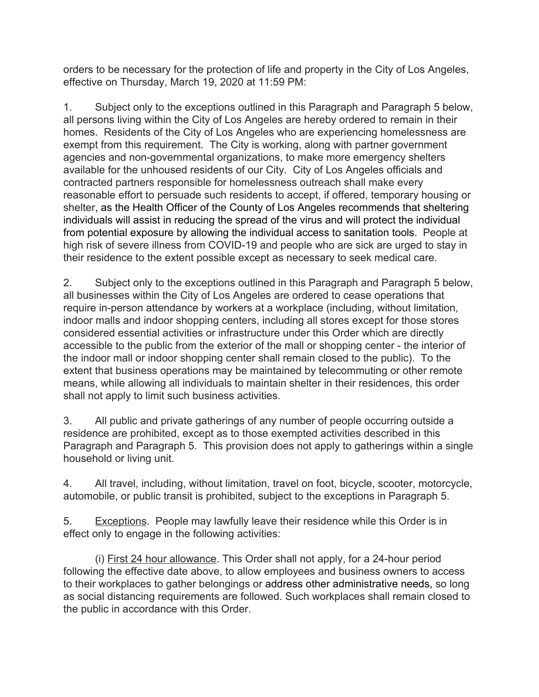orders to be necessary for the protection of life and property in the City of Los Angeles, effective on Thursday, March 19, 2020 at 11:59 PM:

1. Subject only to the exceptions outlined in this Paragraph and Paragraph 5 below, all persons living within the City of Los Angeles are hereby ordered to remain in their homes. Residents of the City of Los Angeles who are experiencing homelessness are exempt from this requirement. The City is working, along with partner government agencies and non-governmental organizations, to make more emergency shelters available for the unhoused residents of our City. City of Los Angeles officials and contracted partners responsible for homelessness outreach shall make every reasonable effort to persuade such residents to accept, if offered, temporary housing or shelter, as the Health Officer of the County of Los Angeles recommends that sheltering individuals will assist in reducing the spread of the virus and will protect the individual from potential exposure by allowing the individual access to sanitation tools. People at high risk of severe illness from COVID-19 and people who are sick are urged to stay in their residence to the extent possible except as necessary to seek medical care.

2. Subject only to the exceptions outlined in this Paragraph and Paragraph 5 below, all businesses within the City of Los Angeles are ordered to cease operations that require in-person attendance by workers at a workplace (including, without limitation, indoor malls and indoor shopping centers, including all stores except for those stores considered essential activities or infrastructure under this Order which are directly accessible to the public from the exterior of the mall or shopping center - the interior of the indoor mall or indoor shopping center shall remain closed to the public). To the extent that business operations may be maintained by telecommuting or other remote means, while allowing all individuals to maintain shelter in their residences, this order shall not apply to limit such business activities.

3. All public and private gatherings of any number of people occurring outside a residence are prohibited, except as to those exempted activities described in this Paragraph and Paragraph 5. This provision does not apply to gatherings within a single household or living unit.

4. All travel, including, without limitation, travel on foot, bicycle, scooter, motorcycle, automobile, or public transit is prohibited, subject to the exceptions in Paragraph 5.

5. Exceptions. People may lawfully leave their residence while this Order is in effect only to engage in the following activities:

(i) First 24 hour allowance. This Order shall not apply, for a 24-hour period following the effective date above, to allow employees and business owners to access to their workplaces to gather belongings or address other administrative needs, so long as social distancing requirements are followed. Such workplaces shall remain closed to the public in accordance with this Order.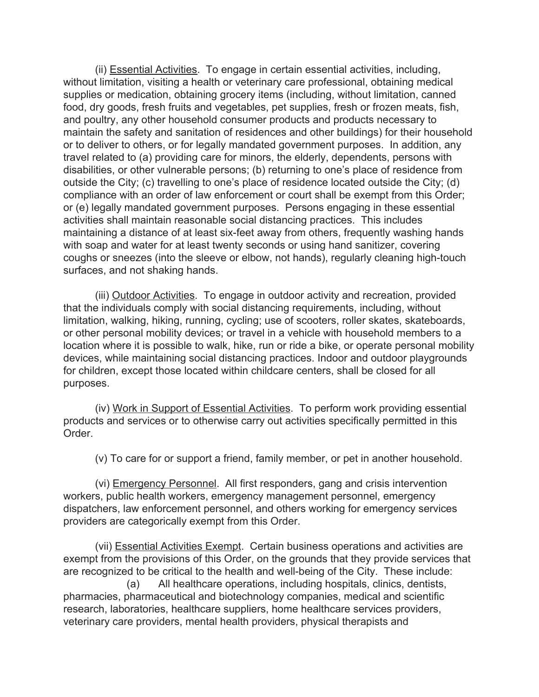(ii) Essential Activities. To engage in certain essential activities, including, without limitation, visiting a health or veterinary care professional, obtaining medical supplies or medication, obtaining grocery items (including, without limitation, canned food, dry goods, fresh fruits and vegetables, pet supplies, fresh or frozen meats, fish, and poultry, any other household consumer products and products necessary to maintain the safety and sanitation of residences and other buildings) for their household or to deliver to others, or for legally mandated government purposes. In addition, any travel related to (a) providing care for minors, the elderly, dependents, persons with disabilities, or other vulnerable persons; (b) returning to one's place of residence from outside the City; (c) travelling to one's place of residence located outside the City; (d) compliance with an order of law enforcement or court shall be exempt from this Order; or (e) legally mandated government purposes. Persons engaging in these essential activities shall maintain reasonable social distancing practices. This includes maintaining a distance of at least six-feet away from others, frequently washing hands with soap and water for at least twenty seconds or using hand sanitizer, covering coughs or sneezes (into the sleeve or elbow, not hands), regularly cleaning high-touch surfaces, and not shaking hands.

(iii) Outdoor Activities. To engage in outdoor activity and recreation, provided that the individuals comply with social distancing requirements, including, without limitation, walking, hiking, running, cycling; use of scooters, roller skates, skateboards, or other personal mobility devices; or travel in a vehicle with household members to a location where it is possible to walk, hike, run or ride a bike, or operate personal mobility devices, while maintaining social distancing practices. Indoor and outdoor playgrounds for children, except those located within childcare centers, shall be closed for all purposes.

(iv) Work in Support of Essential Activities. To perform work providing essential products and services or to otherwise carry out activities specifically permitted in this Order.

(v) To care for or support a friend, family member, or pet in another household.

(vi) Emergency Personnel. All first responders, gang and crisis intervention workers, public health workers, emergency management personnel, emergency dispatchers, law enforcement personnel, and others working for emergency services providers are categorically exempt from this Order.

(vii) Essential Activities Exempt. Certain business operations and activities are exempt from the provisions of this Order, on the grounds that they provide services that are recognized to be critical to the health and well-being of the City. These include:

(a) All healthcare operations, including hospitals, clinics, dentists, pharmacies, pharmaceutical and biotechnology companies, medical and scientific research, laboratories, healthcare suppliers, home healthcare services providers, veterinary care providers, mental health providers, physical therapists and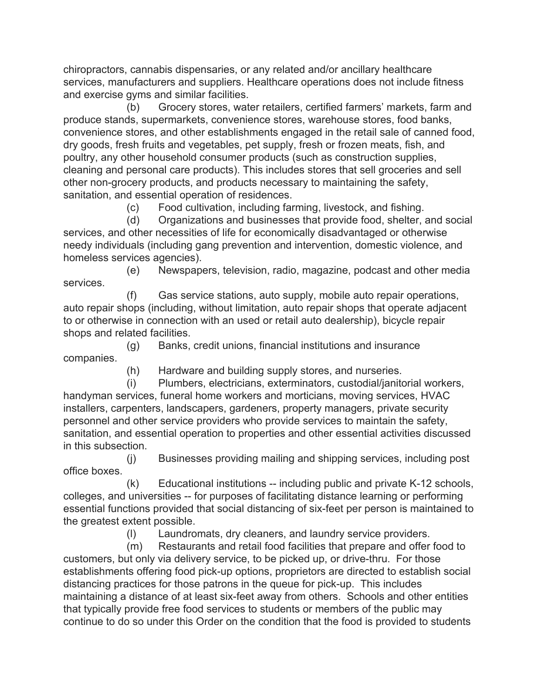chiropractors, cannabis dispensaries, or any related and/or ancillary healthcare services, manufacturers and suppliers. Healthcare operations does not include fitness and exercise gyms and similar facilities.

(b) Grocery stores, water retailers, certified farmers' markets, farm and produce stands, supermarkets, convenience stores, warehouse stores, food banks, convenience stores, and other establishments engaged in the retail sale of canned food, dry goods, fresh fruits and vegetables, pet supply, fresh or frozen meats, fish, and poultry, any other household consumer products (such as construction supplies, cleaning and personal care products). This includes stores that sell groceries and sell other non-grocery products, and products necessary to maintaining the safety, sanitation, and essential operation of residences.

(c) Food cultivation, including farming, livestock, and fishing.

(d) Organizations and businesses that provide food, shelter, and social services, and other necessities of life for economically disadvantaged or otherwise needy individuals (including gang prevention and intervention, domestic violence, and homeless services agencies).

(e) Newspapers, television, radio, magazine, podcast and other media services.

(f) Gas service stations, auto supply, mobile auto repair operations, auto repair shops (including, without limitation, auto repair shops that operate adjacent to or otherwise in connection with an used or retail auto dealership), bicycle repair shops and related facilities.

(g) Banks, credit unions, financial institutions and insurance companies.

(h) Hardware and building supply stores, and nurseries.

(i) Plumbers, electricians, exterminators, custodial/janitorial workers, handyman services, funeral home workers and morticians, moving services, HVAC installers, carpenters, landscapers, gardeners, property managers, private security personnel and other service providers who provide services to maintain the safety, sanitation, and essential operation to properties and other essential activities discussed in this subsection.

(j) Businesses providing mailing and shipping services, including post office boxes.

(k) Educational institutions -- including public and private K-12 schools, colleges, and universities -- for purposes of facilitating distance learning or performing essential functions provided that social distancing of six-feet per person is maintained to the greatest extent possible.

(l) Laundromats, dry cleaners, and laundry service providers.

(m) Restaurants and retail food facilities that prepare and offer food to customers, but only via delivery service, to be picked up, or drive-thru. For those establishments offering food pick-up options, proprietors are directed to establish social distancing practices for those patrons in the queue for pick-up. This includes maintaining a distance of at least six-feet away from others. Schools and other entities that typically provide free food services to students or members of the public may continue to do so under this Order on the condition that the food is provided to students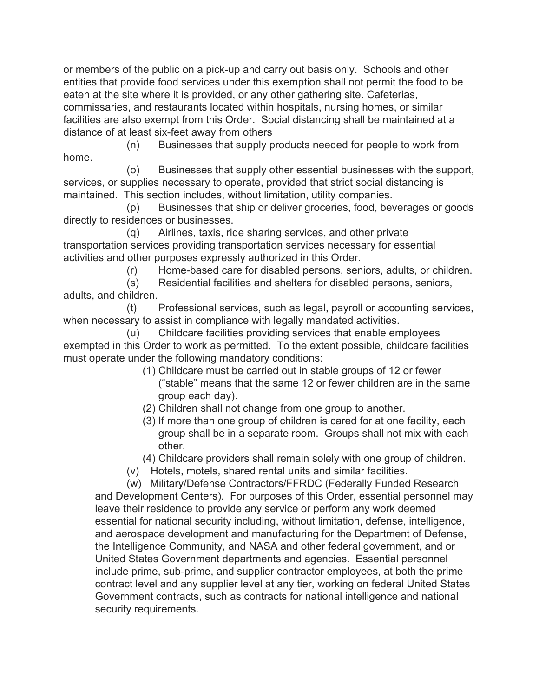or members of the public on a pick-up and carry out basis only. Schools and other entities that provide food services under this exemption shall not permit the food to be eaten at the site where it is provided, or any other gathering site. Cafeterias, commissaries, and restaurants located within hospitals, nursing homes, or similar facilities are also exempt from this Order. Social distancing shall be maintained at a distance of at least six-feet away from others

(n) Businesses that supply products needed for people to work from home.

(o) Businesses that supply other essential businesses with the support, services, or supplies necessary to operate, provided that strict social distancing is maintained. This section includes, without limitation, utility companies.

(p) Businesses that ship or deliver groceries, food, beverages or goods directly to residences or businesses.

(q) Airlines, taxis, ride sharing services, and other private transportation services providing transportation services necessary for essential activities and other purposes expressly authorized in this Order.

(r) Home-based care for disabled persons, seniors, adults, or children.

(s) Residential facilities and shelters for disabled persons, seniors, adults, and children.

(t) Professional services, such as legal, payroll or accounting services, when necessary to assist in compliance with legally mandated activities.

(u) Childcare facilities providing services that enable employees exempted in this Order to work as permitted. To the extent possible, childcare facilities must operate under the following mandatory conditions:

- (1) Childcare must be carried out in stable groups of 12 or fewer ("stable" means that the same 12 or fewer children are in the same group each day).
- (2) Children shall not change from one group to another.
- (3) If more than one group of children is cared for at one facility, each group shall be in a separate room. Groups shall not mix with each other.
- (4) Childcare providers shall remain solely with one group of children.
- (v) Hotels, motels, shared rental units and similar facilities.

(w) Military/Defense Contractors/FFRDC (Federally Funded Research and Development Centers). For purposes of this Order, essential personnel may leave their residence to provide any service or perform any work deemed essential for national security including, without limitation, defense, intelligence, and aerospace development and manufacturing for the Department of Defense, the Intelligence Community, and NASA and other federal government, and or United States Government departments and agencies. Essential personnel include prime, sub-prime, and supplier contractor employees, at both the prime contract level and any supplier level at any tier, working on federal United States Government contracts, such as contracts for national intelligence and national security requirements.